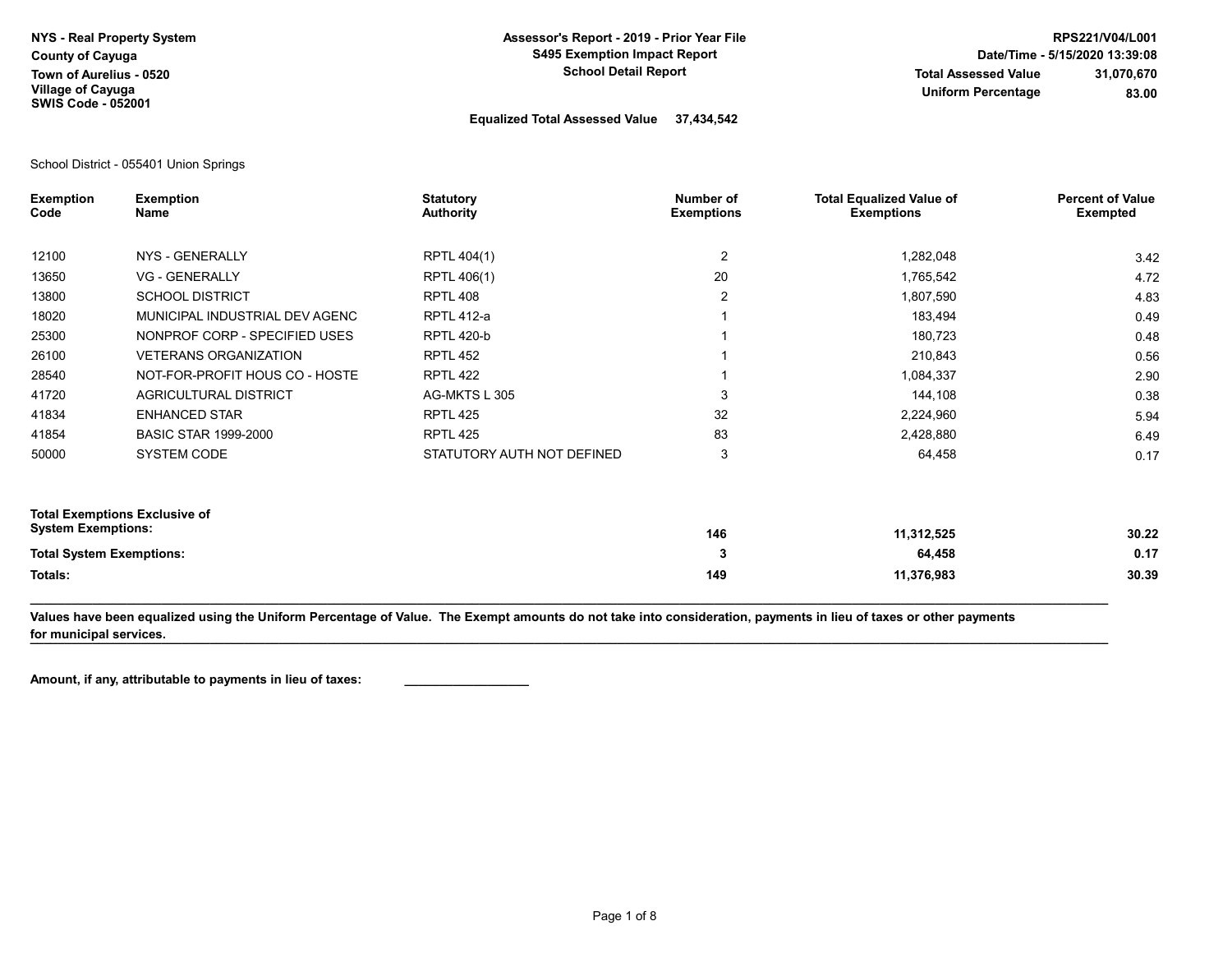## Equalized Total Assessed Value 37,434,542

School District - 055401 Union Springs

| <b>Exemption</b><br>Code        | <b>Exemption</b><br>Name             | <b>Statutory</b><br><b>Authority</b> | Number of<br><b>Exemptions</b> | <b>Total Equalized Value of</b><br><b>Exemptions</b> | <b>Percent of Value</b><br><b>Exempted</b> |
|---------------------------------|--------------------------------------|--------------------------------------|--------------------------------|------------------------------------------------------|--------------------------------------------|
| 12100                           | NYS - GENERALLY                      | RPTL 404(1)                          | $\overline{2}$                 | 1,282,048                                            | 3.42                                       |
| 13650                           | <b>VG - GENERALLY</b>                | RPTL 406(1)                          | 20                             | 1,765,542                                            | 4.72                                       |
| 13800                           | <b>SCHOOL DISTRICT</b>               | <b>RPTL 408</b>                      | 2                              | 1,807,590                                            | 4.83                                       |
| 18020                           | MUNICIPAL INDUSTRIAL DEV AGENC       | <b>RPTL 412-a</b>                    |                                | 183,494                                              | 0.49                                       |
| 25300                           | NONPROF CORP - SPECIFIED USES        | <b>RPTL 420-b</b>                    |                                | 180,723                                              | 0.48                                       |
| 26100                           | <b>VETERANS ORGANIZATION</b>         | <b>RPTL 452</b>                      |                                | 210,843                                              | 0.56                                       |
| 28540                           | NOT-FOR-PROFIT HOUS CO - HOSTE       | <b>RPTL 422</b>                      |                                | 1,084,337                                            | 2.90                                       |
| 41720                           | AGRICULTURAL DISTRICT                | AG-MKTS L 305                        | 3                              | 144,108                                              | 0.38                                       |
| 41834                           | <b>ENHANCED STAR</b>                 | RPTL 425                             | 32                             | 2,224,960                                            | 5.94                                       |
| 41854                           | <b>BASIC STAR 1999-2000</b>          | RPTL 425                             | 83                             | 2,428,880                                            | 6.49                                       |
| 50000                           | SYSTEM CODE                          | STATUTORY AUTH NOT DEFINED           | 3                              | 64,458                                               | 0.17                                       |
| <b>System Exemptions:</b>       | <b>Total Exemptions Exclusive of</b> |                                      | 146                            | 11,312,525                                           | 30.22                                      |
| <b>Total System Exemptions:</b> |                                      | 3                                    | 64,458                         | 0.17                                                 |                                            |
|                                 |                                      |                                      |                                |                                                      |                                            |
| Totals:                         |                                      |                                      | 149                            | 11,376,983                                           | 30.39                                      |

tor municipal services.<br>The municipal services. Values have been equalized using the Uniform Percentage of Value. The Exempt amounts do not take into consideration, payments in lieu of taxes or other payments for municipal services.

\_\_\_\_\_\_\_\_\_\_\_\_\_\_\_\_\_\_\_\_\_\_\_\_\_\_\_\_\_\_\_\_\_\_\_\_\_\_\_\_\_\_\_\_\_\_\_\_\_\_\_\_\_\_\_\_\_\_\_\_\_\_\_\_\_\_\_\_\_\_\_\_\_\_\_\_\_\_\_\_\_\_\_\_\_\_\_\_\_\_\_\_\_\_\_\_\_\_\_\_\_\_\_\_\_\_\_\_\_\_\_\_\_\_\_\_\_\_\_\_\_\_\_\_\_\_\_\_\_\_\_\_\_\_\_\_\_\_\_\_\_\_\_\_\_\_\_\_\_\_\_\_\_\_\_\_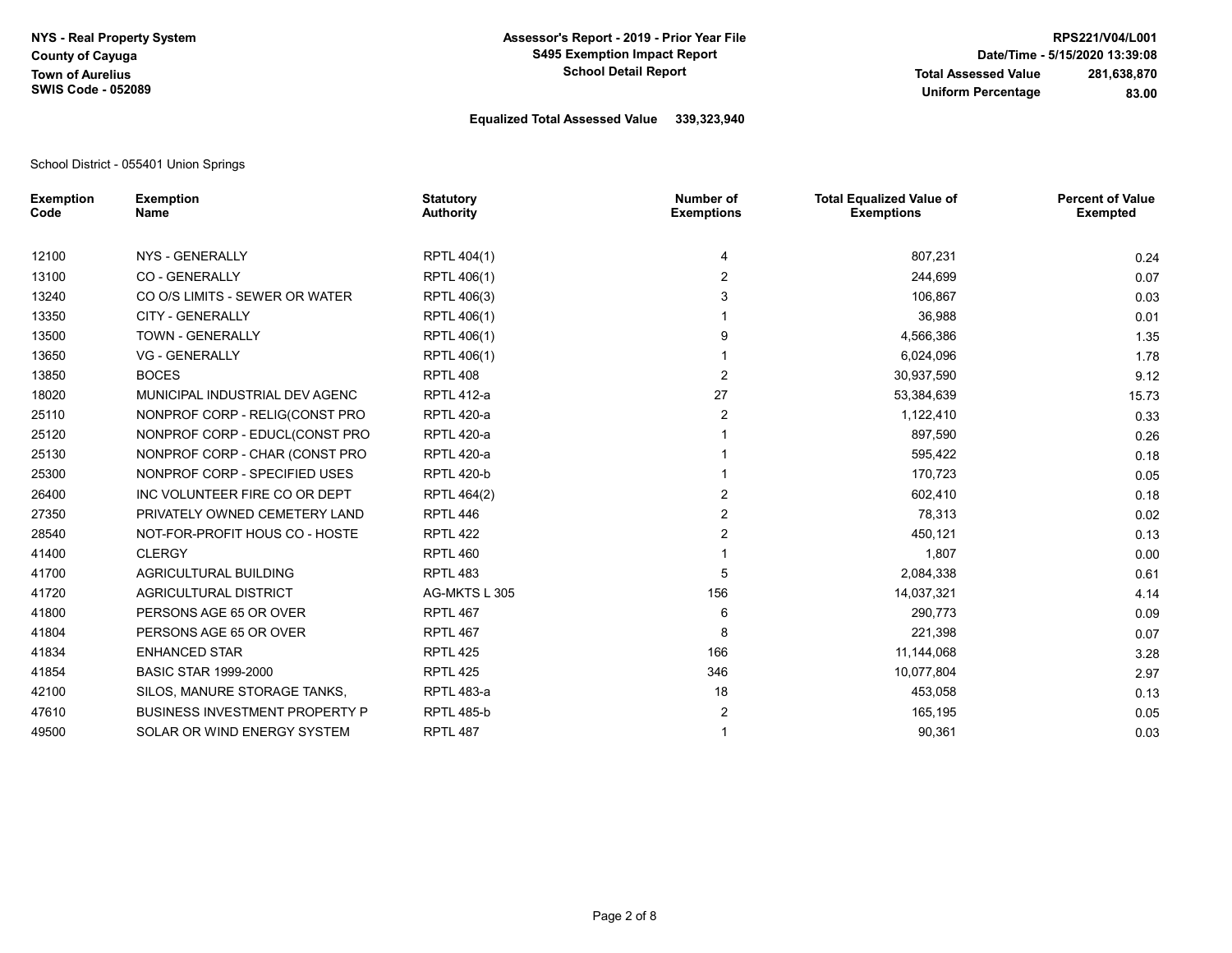## Equalized Total Assessed Value 339,323,940

School District - 055401 Union Springs

| <b>Exemption</b><br>Code | <b>Exemption</b><br>Name              | <b>Statutory</b><br><b>Authority</b> | Number of<br><b>Exemptions</b> | <b>Total Equalized Value of</b><br><b>Exemptions</b> | <b>Percent of Value</b><br><b>Exempted</b> |
|--------------------------|---------------------------------------|--------------------------------------|--------------------------------|------------------------------------------------------|--------------------------------------------|
| 12100                    | NYS - GENERALLY                       | RPTL 404(1)                          | 4                              | 807,231                                              | 0.24                                       |
| 13100                    | CO - GENERALLY                        | RPTL 406(1)                          | 2                              | 244,699                                              | 0.07                                       |
| 13240                    | CO O/S LIMITS - SEWER OR WATER        | RPTL 406(3)                          |                                | 106,867                                              | 0.03                                       |
| 13350                    | <b>CITY - GENERALLY</b>               | RPTL 406(1)                          |                                | 36,988                                               | 0.01                                       |
| 13500                    | TOWN - GENERALLY                      | RPTL 406(1)                          | 9                              | 4,566,386                                            | 1.35                                       |
| 13650                    | <b>VG - GENERALLY</b>                 | RPTL 406(1)                          |                                | 6,024,096                                            | 1.78                                       |
| 13850                    | <b>BOCES</b>                          | <b>RPTL 408</b>                      | 2                              | 30,937,590                                           | 9.12                                       |
| 18020                    | MUNICIPAL INDUSTRIAL DEV AGENC        | <b>RPTL 412-a</b>                    | 27                             | 53,384,639                                           | 15.73                                      |
| 25110                    | NONPROF CORP - RELIG(CONST PRO        | <b>RPTL 420-a</b>                    | 2                              | 1,122,410                                            | 0.33                                       |
| 25120                    | NONPROF CORP - EDUCL(CONST PRO        | <b>RPTL 420-a</b>                    |                                | 897,590                                              | 0.26                                       |
| 25130                    | NONPROF CORP - CHAR (CONST PRO        | <b>RPTL 420-a</b>                    |                                | 595,422                                              | 0.18                                       |
| 25300                    | NONPROF CORP - SPECIFIED USES         | <b>RPTL 420-b</b>                    |                                | 170,723                                              | 0.05                                       |
| 26400                    | INC VOLUNTEER FIRE CO OR DEPT         | RPTL 464(2)                          | 2                              | 602,410                                              | 0.18                                       |
| 27350                    | PRIVATELY OWNED CEMETERY LAND         | <b>RPTL 446</b>                      | 2                              | 78,313                                               | 0.02                                       |
| 28540                    | NOT-FOR-PROFIT HOUS CO - HOSTE        | <b>RPTL 422</b>                      | 2                              | 450,121                                              | 0.13                                       |
| 41400                    | <b>CLERGY</b>                         | <b>RPTL 460</b>                      |                                | 1,807                                                | 0.00                                       |
| 41700                    | AGRICULTURAL BUILDING                 | <b>RPTL 483</b>                      | 5                              | 2,084,338                                            | 0.61                                       |
| 41720                    | <b>AGRICULTURAL DISTRICT</b>          | AG-MKTS L 305                        | 156                            | 14,037,321                                           | 4.14                                       |
| 41800                    | PERSONS AGE 65 OR OVER                | <b>RPTL 467</b>                      | 6                              | 290,773                                              | 0.09                                       |
| 41804                    | PERSONS AGE 65 OR OVER                | <b>RPTL 467</b>                      | 8                              | 221,398                                              | 0.07                                       |
| 41834                    | <b>ENHANCED STAR</b>                  | <b>RPTL 425</b>                      | 166                            | 11,144,068                                           | 3.28                                       |
| 41854                    | <b>BASIC STAR 1999-2000</b>           | <b>RPTL 425</b>                      | 346                            | 10,077,804                                           | 2.97                                       |
| 42100                    | SILOS, MANURE STORAGE TANKS,          | <b>RPTL 483-a</b>                    | 18                             | 453,058                                              | 0.13                                       |
| 47610                    | <b>BUSINESS INVESTMENT PROPERTY P</b> | <b>RPTL 485-b</b>                    | 2                              | 165,195                                              | 0.05                                       |
| 49500                    | SOLAR OR WIND ENERGY SYSTEM           | <b>RPTL 487</b>                      |                                | 90,361                                               | 0.03                                       |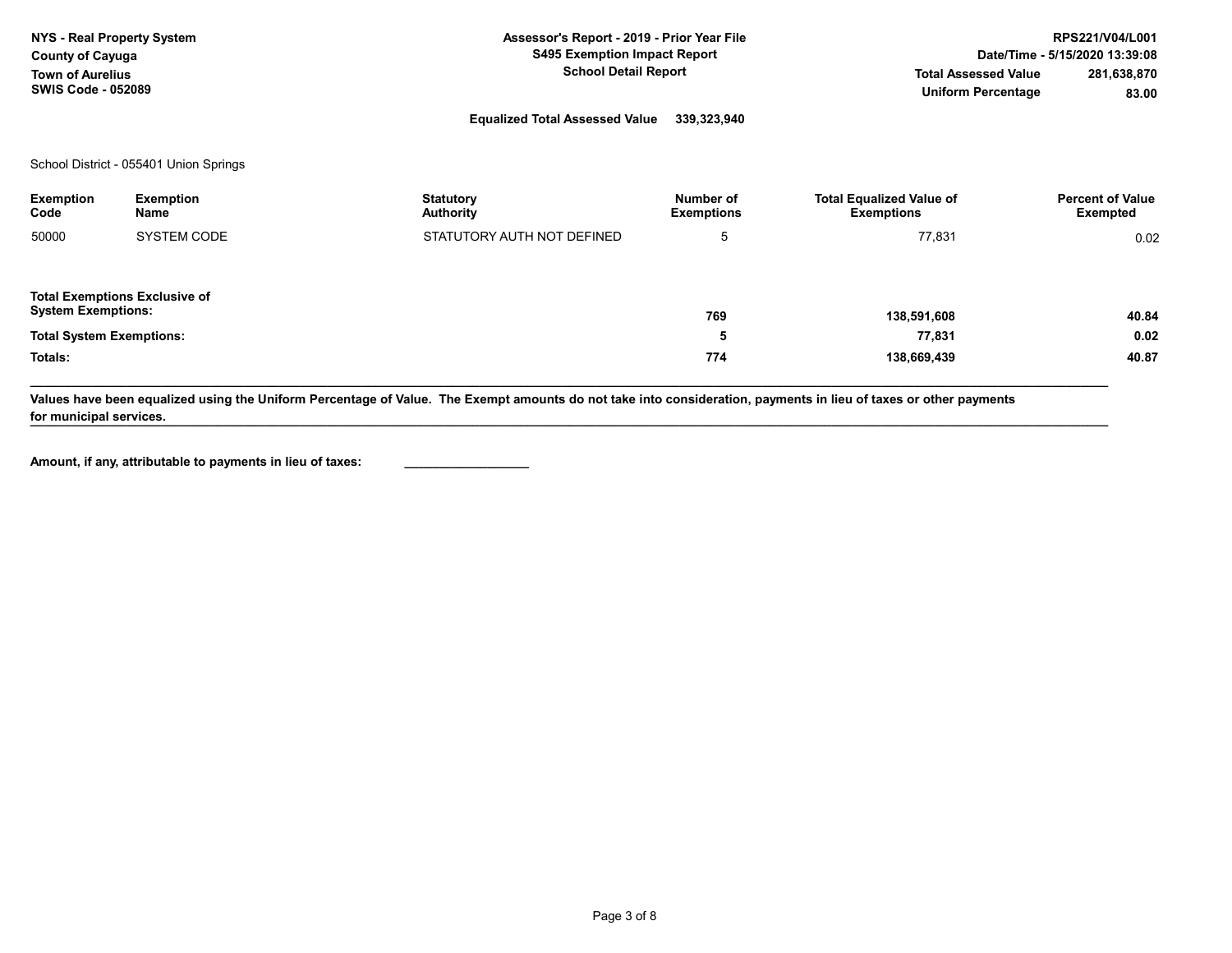| NYS - Real Property System<br><b>County of Cayuga</b><br><b>Town of Aurelius</b><br><b>SWIS Code - 052089</b> | Assessor's Report - 2019 - Prior Year File<br><b>S495 Exemption Impact Report</b><br><b>School Detail Report</b> | <b>Total Assessed Value</b><br><b>Uniform Percentage</b> | RPS221/V04/L001<br>Date/Time - 5/15/2020 13:39:08<br>281.638.870<br>83.00 |
|---------------------------------------------------------------------------------------------------------------|------------------------------------------------------------------------------------------------------------------|----------------------------------------------------------|---------------------------------------------------------------------------|
|                                                                                                               | <b>Equalized Total Assessed Value</b><br>339.323.940                                                             |                                                          |                                                                           |

School District - 055401 Union Springs

| Exemption<br>Code                                                 | <b>Exemption</b><br>Name | <b>Statutory</b><br>Authority | Number of<br><b>Exemptions</b> | <b>Total Equalized Value of</b><br><b>Exemptions</b> | <b>Percent of Value</b><br>Exempted |
|-------------------------------------------------------------------|--------------------------|-------------------------------|--------------------------------|------------------------------------------------------|-------------------------------------|
| 50000                                                             | <b>SYSTEM CODE</b>       | STATUTORY AUTH NOT DEFINED    | 5                              | 77,831                                               | 0.02                                |
| <b>Total Exemptions Exclusive of</b><br><b>System Exemptions:</b> |                          |                               | 769                            | 138,591,608                                          | 40.84                               |
| <b>Total System Exemptions:</b>                                   |                          |                               | 5                              | 77,831                                               | 0.02                                |
| Totals:                                                           |                          |                               | 774                            | 138,669,439                                          | 40.87                               |

\_\_\_\_\_\_\_\_\_\_\_\_\_\_\_\_\_\_\_\_\_\_\_\_\_\_\_\_\_\_\_\_\_\_\_\_\_\_\_\_\_\_\_\_\_\_\_\_\_\_\_\_\_\_\_\_\_\_\_\_\_\_\_\_\_\_\_\_\_\_\_\_\_\_\_\_\_\_\_\_\_\_\_\_\_\_\_\_\_\_\_\_\_\_\_\_\_\_\_\_\_\_\_\_\_\_\_\_\_\_\_\_\_\_\_\_\_\_\_\_\_\_\_\_\_\_\_\_\_\_\_\_\_\_\_\_\_\_\_\_\_\_\_\_\_\_\_\_\_\_\_\_\_\_\_\_

tor municipal services.<br>The municipal services. Values have been equalized using the Uniform Percentage of Value. The Exempt amounts do not take into consideration, payments in lieu of taxes or other payments for municipal services.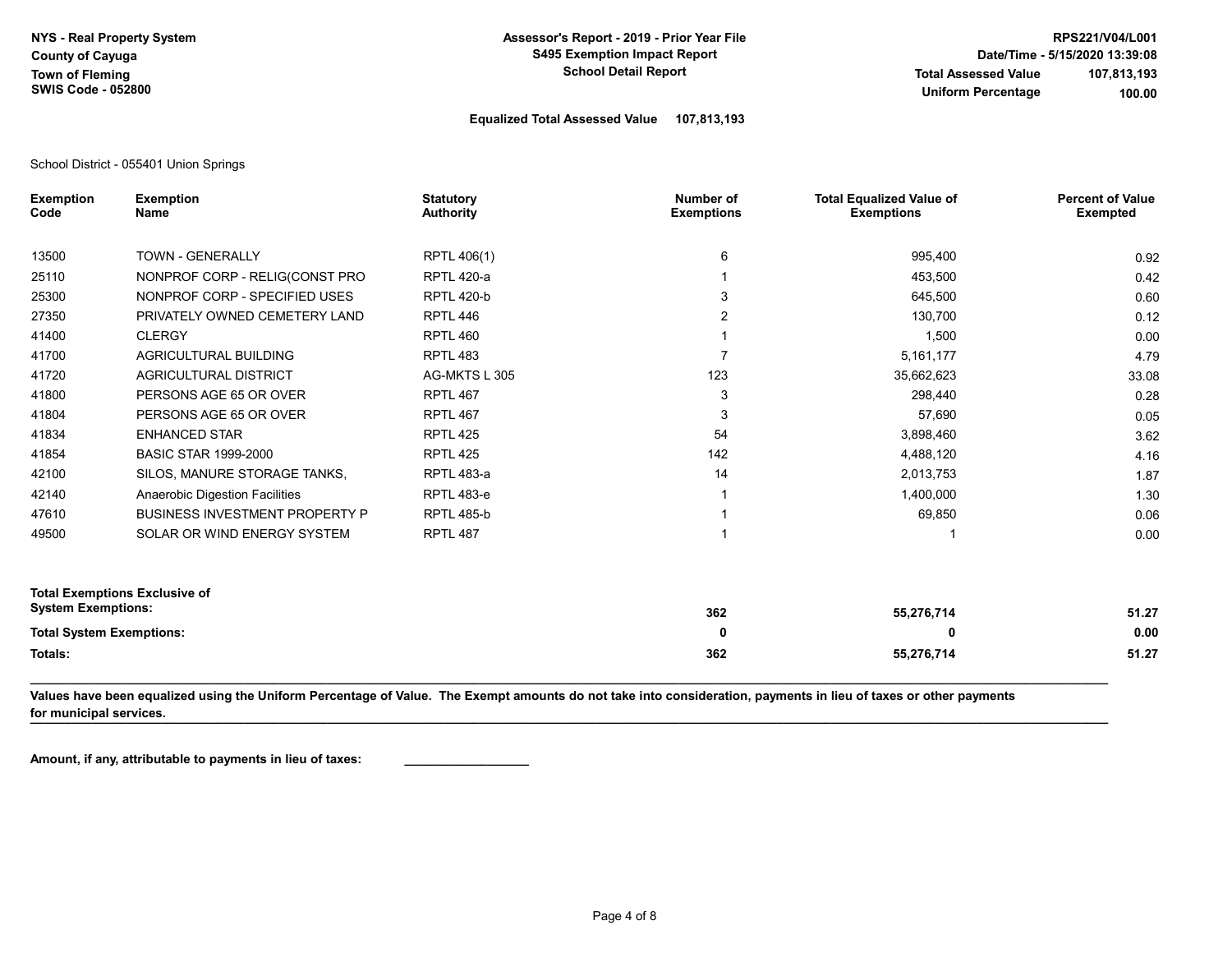Assessor's Report - 2019 - Prior Year File S495 Exemption Impact Report School Detail Report

Equalized Total Assessed Value 107,813,193

School District - 055401 Union Springs

| <b>Exemption</b><br>Code        | <b>Exemption</b><br>Name              | <b>Statutory</b><br><b>Authority</b> | Number of<br><b>Exemptions</b> | <b>Total Equalized Value of</b><br><b>Exemptions</b> | <b>Percent of Value</b><br><b>Exempted</b> |
|---------------------------------|---------------------------------------|--------------------------------------|--------------------------------|------------------------------------------------------|--------------------------------------------|
| 13500                           | <b>TOWN - GENERALLY</b>               | RPTL 406(1)                          | 6                              | 995,400                                              | 0.92                                       |
| 25110                           | NONPROF CORP - RELIG(CONST PRO        | <b>RPTL 420-a</b>                    |                                | 453,500                                              | 0.42                                       |
| 25300                           | NONPROF CORP - SPECIFIED USES         | <b>RPTL 420-b</b>                    | 3                              | 645,500                                              | 0.60                                       |
| 27350                           | PRIVATELY OWNED CEMETERY LAND         | RPTL 446                             | $\overline{2}$                 | 130,700                                              | 0.12                                       |
| 41400                           | <b>CLERGY</b>                         | <b>RPTL 460</b>                      |                                | 1,500                                                | 0.00                                       |
| 41700                           | <b>AGRICULTURAL BUILDING</b>          | <b>RPTL 483</b>                      |                                | 5,161,177                                            | 4.79                                       |
| 41720                           | AGRICULTURAL DISTRICT                 | AG-MKTS L 305                        | 123                            | 35,662,623                                           | 33.08                                      |
| 41800                           | PERSONS AGE 65 OR OVER                | <b>RPTL 467</b>                      | 3                              | 298,440                                              | 0.28                                       |
| 41804                           | PERSONS AGE 65 OR OVER                | <b>RPTL 467</b>                      | 3                              | 57,690                                               | 0.05                                       |
| 41834                           | <b>ENHANCED STAR</b>                  | <b>RPTL 425</b>                      | 54                             | 3,898,460                                            | 3.62                                       |
| 41854                           | <b>BASIC STAR 1999-2000</b>           | <b>RPTL 425</b>                      | 142                            | 4,488,120                                            | 4.16                                       |
| 42100                           | SILOS, MANURE STORAGE TANKS,          | <b>RPTL 483-a</b>                    | 14                             | 2,013,753                                            | 1.87                                       |
| 42140                           | Anaerobic Digestion Facilities        | <b>RPTL 483-e</b>                    |                                | 1,400,000                                            | 1.30                                       |
| 47610                           | <b>BUSINESS INVESTMENT PROPERTY P</b> | <b>RPTL 485-b</b>                    |                                | 69,850                                               | 0.06                                       |
| 49500                           | SOLAR OR WIND ENERGY SYSTEM           | <b>RPTL 487</b>                      |                                |                                                      | 0.00                                       |
| <b>System Exemptions:</b>       | <b>Total Exemptions Exclusive of</b>  |                                      | 362                            | 55,276,714                                           | 51.27                                      |
| <b>Total System Exemptions:</b> |                                       |                                      | 0                              |                                                      | 0.00                                       |
| Totals:                         |                                       |                                      | 362                            | 55,276,714                                           | 51.27                                      |

\_\_\_\_\_\_\_\_\_\_\_\_\_\_\_\_\_\_\_\_\_\_\_\_\_\_\_\_\_\_\_\_\_\_\_\_\_\_\_\_\_\_\_\_\_\_\_\_\_\_\_\_\_\_\_\_\_\_\_\_\_\_\_\_\_\_\_\_\_\_\_\_\_\_\_\_\_\_\_\_\_\_\_\_\_\_\_\_\_\_\_\_\_\_\_\_\_\_\_\_\_\_\_\_\_\_\_\_\_\_\_\_\_\_\_\_\_\_\_\_\_\_\_\_\_\_\_\_\_\_\_\_\_\_\_\_\_\_\_\_\_\_\_\_\_\_\_\_\_\_\_\_\_\_\_\_ Values have been equalized using the Uniform Percentage of Value. The Exempt amounts do not take into consideration, payments in lieu of taxes or other payments for municipal services.

\_\_\_\_\_\_\_\_\_\_\_\_\_\_\_\_\_\_\_\_\_\_\_\_\_\_\_\_\_\_\_\_\_\_\_\_\_\_\_\_\_\_\_\_\_\_\_\_\_\_\_\_\_\_\_\_\_\_\_\_\_\_\_\_\_\_\_\_\_\_\_\_\_\_\_\_\_\_\_\_\_\_\_\_\_\_\_\_\_\_\_\_\_\_\_\_\_\_\_\_\_\_\_\_\_\_\_\_\_\_\_\_\_\_\_\_\_\_\_\_\_\_\_\_\_\_\_\_\_\_\_\_\_\_\_\_\_\_\_\_\_\_\_\_\_\_\_\_\_\_\_\_\_\_\_\_

 $\overline{\phantom{a}}$  , where  $\overline{\phantom{a}}$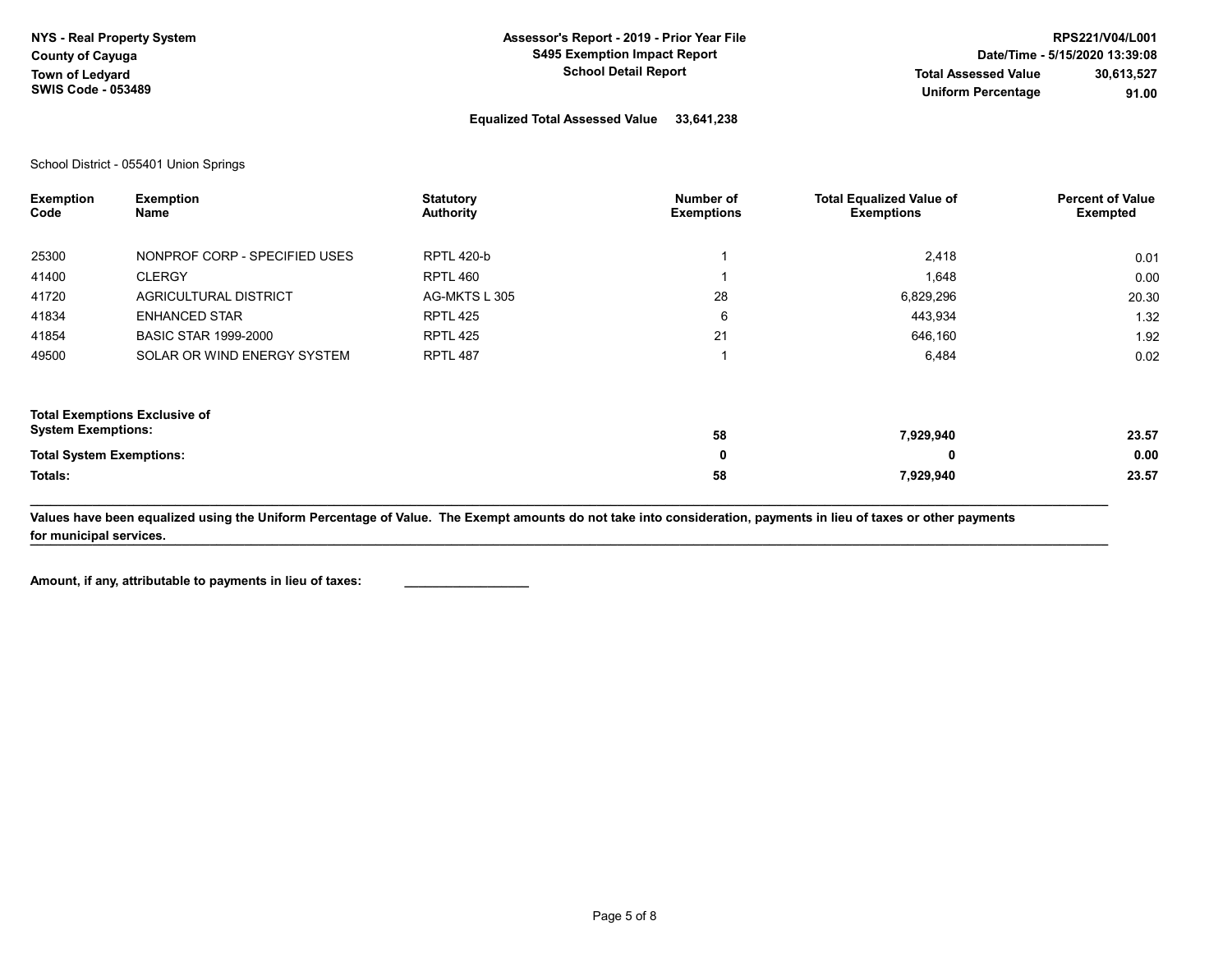Assessor's Report - 2019 - Prior Year File S495 Exemption Impact Report School Detail Report

Equalized Total Assessed Value 33,641,238

School District - 055401 Union Springs

| <b>Exemption</b><br>Code                                          | <b>Exemption</b><br>Name      | <b>Statutory</b><br><b>Authority</b> | Number of<br><b>Exemptions</b> | <b>Total Equalized Value of</b><br><b>Exemptions</b> | <b>Percent of Value</b><br><b>Exempted</b> |
|-------------------------------------------------------------------|-------------------------------|--------------------------------------|--------------------------------|------------------------------------------------------|--------------------------------------------|
| 25300                                                             | NONPROF CORP - SPECIFIED USES | <b>RPTL 420-b</b>                    |                                | 2,418                                                | 0.01                                       |
| 41400                                                             | <b>CLERGY</b>                 | RPTL 460                             |                                | 1,648                                                | 0.00                                       |
| 41720                                                             | <b>AGRICULTURAL DISTRICT</b>  | AG-MKTS L 305                        | 28                             | 6,829,296                                            | 20.30                                      |
| 41834                                                             | <b>ENHANCED STAR</b>          | <b>RPTL 425</b>                      | 6                              | 443,934                                              | 1.32                                       |
| 41854                                                             | <b>BASIC STAR 1999-2000</b>   | <b>RPTL 425</b>                      | 21                             | 646,160                                              | 1.92                                       |
| 49500                                                             | SOLAR OR WIND ENERGY SYSTEM   | <b>RPTL 487</b>                      |                                | 6,484                                                | 0.02                                       |
| <b>Total Exemptions Exclusive of</b><br><b>System Exemptions:</b> |                               |                                      | 58                             | 7,929,940                                            | 23.57                                      |
| <b>Total System Exemptions:</b>                                   |                               |                                      | 0                              | 0                                                    | 0.00                                       |
| Totals:                                                           |                               |                                      | 58                             | 7,929,940                                            | 23.57                                      |

tor municipal services.<br>The magnetic services and the contract of the contract of the contract of the contract of the contract of the contract of the contract of the contract of the contract of the contract of Values have been equalized using the Uniform Percentage of Value. The Exempt amounts do not take into consideration, payments in lieu of taxes or other payments for municipal services.

\_\_\_\_\_\_\_\_\_\_\_\_\_\_\_\_\_\_\_\_\_\_\_\_\_\_\_\_\_\_\_\_\_\_\_\_\_\_\_\_\_\_\_\_\_\_\_\_\_\_\_\_\_\_\_\_\_\_\_\_\_\_\_\_\_\_\_\_\_\_\_\_\_\_\_\_\_\_\_\_\_\_\_\_\_\_\_\_\_\_\_\_\_\_\_\_\_\_\_\_\_\_\_\_\_\_\_\_\_\_\_\_\_\_\_\_\_\_\_\_\_\_\_\_\_\_\_\_\_\_\_\_\_\_\_\_\_\_\_\_\_\_\_\_\_\_\_\_\_\_\_\_\_\_\_\_

 $\_$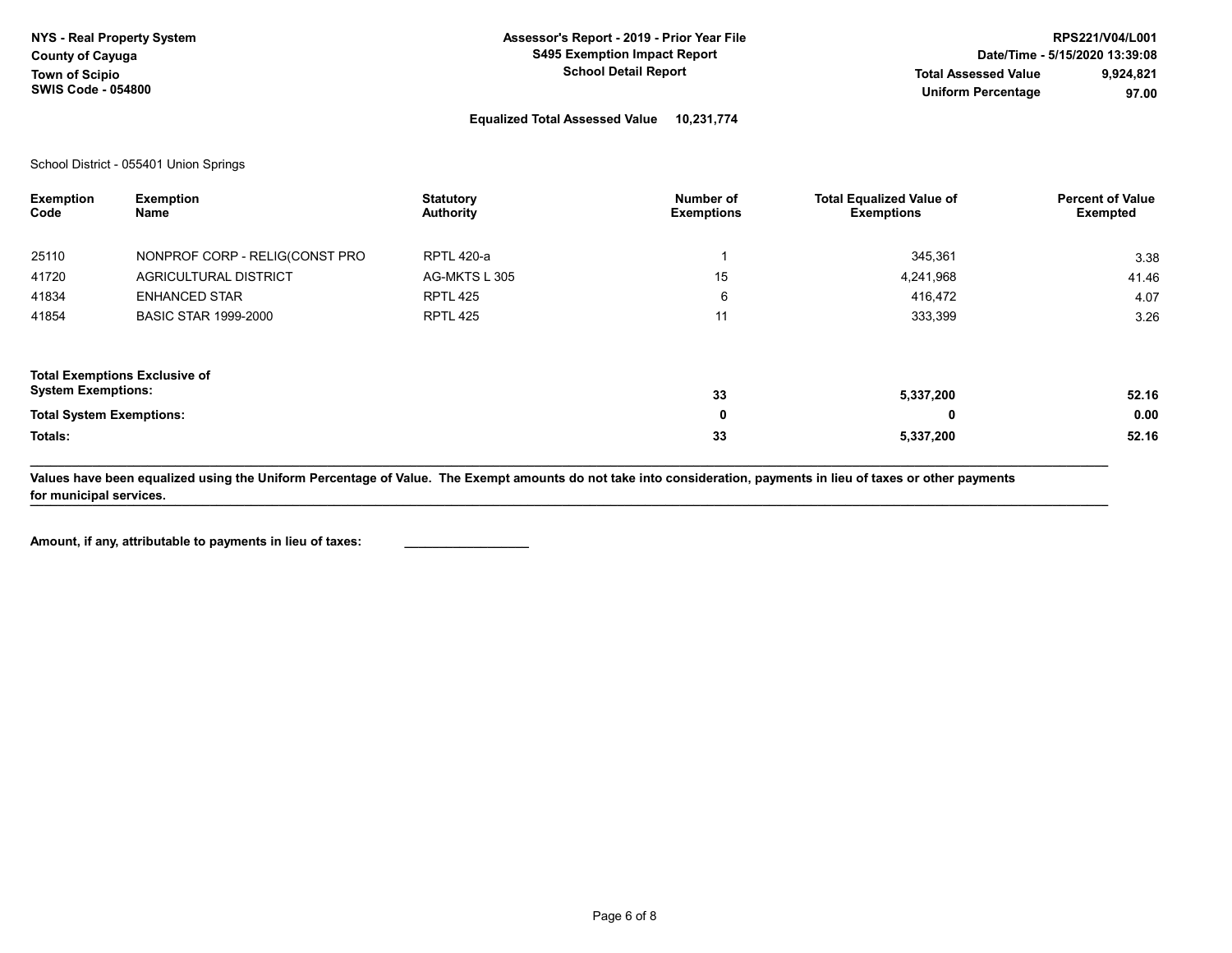| NYS - Real Property System<br><b>County of Cayuga</b><br><b>Town of Scipio</b><br><b>SWIS Code - 054800</b> | Assessor's Report - 2019 - Prior Year File<br><b>S495 Exemption Impact Report</b><br><b>School Detail Report</b> | <b>Total Assessed Value</b><br><b>Uniform Percentage</b> | RPS221/V04/L001<br>Date/Time - 5/15/2020 13:39:08<br>9,924,821<br>97.00 |
|-------------------------------------------------------------------------------------------------------------|------------------------------------------------------------------------------------------------------------------|----------------------------------------------------------|-------------------------------------------------------------------------|
|                                                                                                             | <b>Equalized Total Assessed Value</b><br>10,231,774                                                              |                                                          |                                                                         |

School District - 055401 Union Springs

| <b>Exemption</b><br>Code                                          | <b>Exemption</b><br>Name       | <b>Statutory</b><br><b>Authority</b> | Number of<br><b>Exemptions</b> | <b>Total Equalized Value of</b><br><b>Exemptions</b> | <b>Percent of Value</b><br><b>Exempted</b> |
|-------------------------------------------------------------------|--------------------------------|--------------------------------------|--------------------------------|------------------------------------------------------|--------------------------------------------|
| 25110                                                             | NONPROF CORP - RELIG(CONST PRO | <b>RPTL 420-a</b>                    |                                | 345,361                                              | 3.38                                       |
| 41720                                                             | AGRICULTURAL DISTRICT          | AG-MKTS L 305                        | 15                             | 4,241,968                                            | 41.46                                      |
| 41834                                                             | <b>ENHANCED STAR</b>           | <b>RPTL 425</b>                      | 6                              | 416,472                                              | 4.07                                       |
| 41854                                                             | <b>BASIC STAR 1999-2000</b>    | <b>RPTL 425</b>                      | 11                             | 333,399                                              | 3.26                                       |
| <b>Total Exemptions Exclusive of</b><br><b>System Exemptions:</b> |                                |                                      | 33                             | 5,337,200                                            | 52.16                                      |
| <b>Total System Exemptions:</b>                                   |                                |                                      | 0                              | 0                                                    | 0.00                                       |
| Totals:                                                           |                                |                                      | 33                             | 5,337,200                                            | 52.16                                      |

tor municipal services.<br>The magnetic services and the contract of the contract of the contract of the contract of the contract of the contract of the contract of the contract of the contract of the contract of Values have been equalized using the Uniform Percentage of Value. The Exempt amounts do not take into consideration, payments in lieu of taxes or other payments for municipal services.

\_\_\_\_\_\_\_\_\_\_\_\_\_\_\_\_\_\_\_\_\_\_\_\_\_\_\_\_\_\_\_\_\_\_\_\_\_\_\_\_\_\_\_\_\_\_\_\_\_\_\_\_\_\_\_\_\_\_\_\_\_\_\_\_\_\_\_\_\_\_\_\_\_\_\_\_\_\_\_\_\_\_\_\_\_\_\_\_\_\_\_\_\_\_\_\_\_\_\_\_\_\_\_\_\_\_\_\_\_\_\_\_\_\_\_\_\_\_\_\_\_\_\_\_\_\_\_\_\_\_\_\_\_\_\_\_\_\_\_\_\_\_\_\_\_\_\_\_\_\_\_\_\_\_\_\_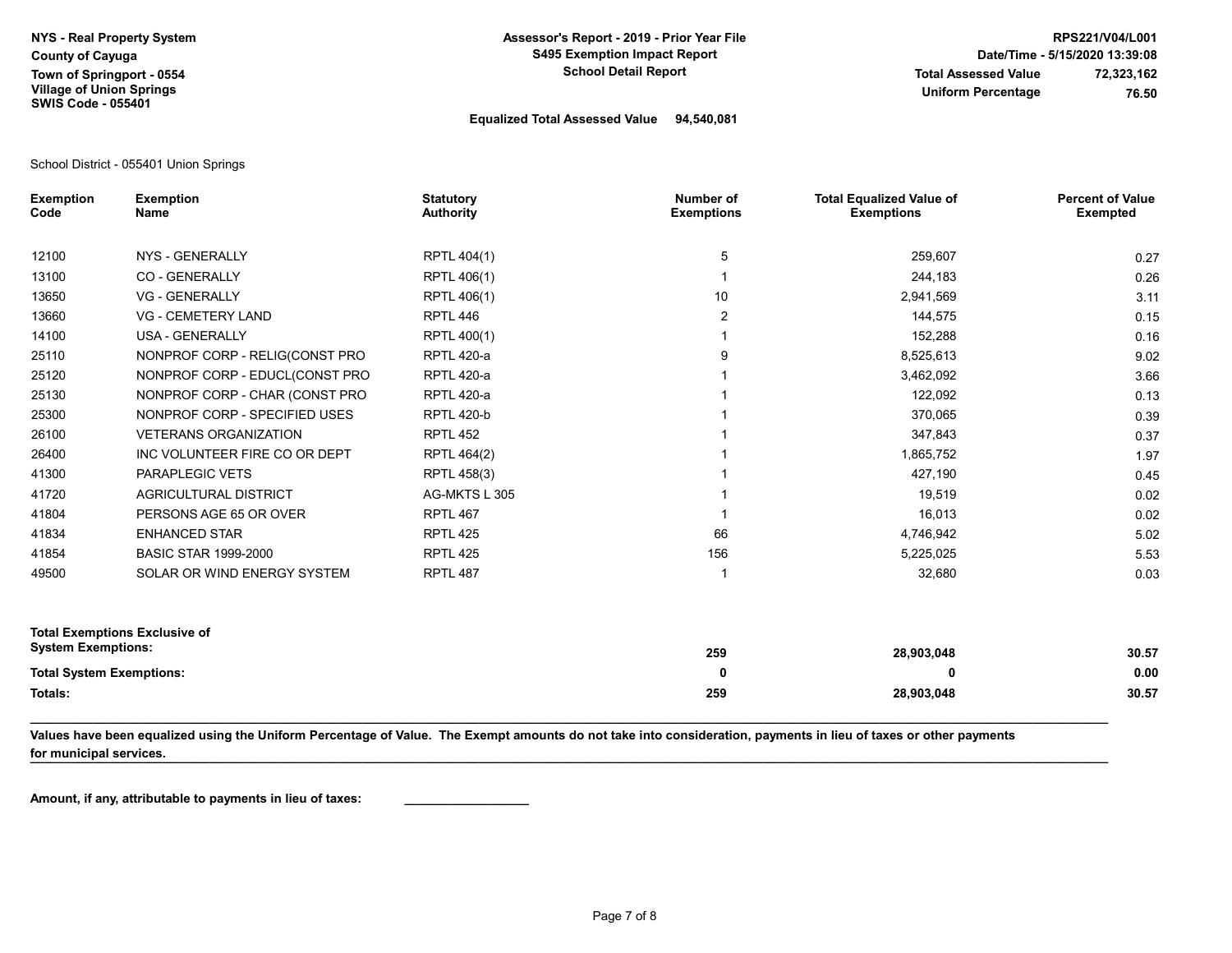## Equalized Total Assessed Value 94,540,081

| <b>Exemption</b><br>Code        | <b>Exemption</b><br>Name             | <b>Statutory</b><br><b>Authority</b> | Number of<br><b>Exemptions</b> | <b>Total Equalized Value of</b><br><b>Exemptions</b> | <b>Percent of Value</b><br><b>Exempted</b> |
|---------------------------------|--------------------------------------|--------------------------------------|--------------------------------|------------------------------------------------------|--------------------------------------------|
| 12100                           | NYS - GENERALLY                      | RPTL 404(1)                          | 5                              | 259,607                                              | 0.27                                       |
| 13100                           | CO - GENERALLY                       | RPTL 406(1)                          |                                | 244,183                                              | 0.26                                       |
| 13650                           | <b>VG - GENERALLY</b>                | RPTL 406(1)                          | 10                             | 2,941,569                                            | 3.11                                       |
| 13660                           | <b>VG - CEMETERY LAND</b>            | RPTL 446                             | 2                              | 144,575                                              | 0.15                                       |
| 14100                           | <b>USA - GENERALLY</b>               | RPTL 400(1)                          |                                | 152,288                                              | 0.16                                       |
| 25110                           | NONPROF CORP - RELIG(CONST PRO       | <b>RPTL 420-a</b>                    | 9                              | 8,525,613                                            | 9.02                                       |
| 25120                           | NONPROF CORP - EDUCL(CONST PRO       | <b>RPTL 420-a</b>                    |                                | 3,462,092                                            | 3.66                                       |
| 25130                           | NONPROF CORP - CHAR (CONST PRO       | <b>RPTL 420-a</b>                    |                                | 122,092                                              | 0.13                                       |
| 25300                           | NONPROF CORP - SPECIFIED USES        | <b>RPTL 420-b</b>                    |                                | 370,065                                              | 0.39                                       |
| 26100                           | <b>VETERANS ORGANIZATION</b>         | <b>RPTL 452</b>                      |                                | 347,843                                              | 0.37                                       |
| 26400                           | INC VOLUNTEER FIRE CO OR DEPT        | RPTL 464(2)                          |                                | 1,865,752                                            | 1.97                                       |
| 41300                           | PARAPLEGIC VETS                      | RPTL 458(3)                          |                                | 427,190                                              | 0.45                                       |
| 41720                           | <b>AGRICULTURAL DISTRICT</b>         | AG-MKTS L 305                        |                                | 19,519                                               | 0.02                                       |
| 41804                           | PERSONS AGE 65 OR OVER               | <b>RPTL 467</b>                      |                                | 16,013                                               | 0.02                                       |
| 41834                           | <b>ENHANCED STAR</b>                 | <b>RPTL 425</b>                      | 66                             | 4,746,942                                            | 5.02                                       |
| 41854                           | <b>BASIC STAR 1999-2000</b>          | <b>RPTL 425</b>                      | 156                            | 5,225,025                                            | 5.53                                       |
| 49500                           | SOLAR OR WIND ENERGY SYSTEM          | <b>RPTL 487</b>                      | -1                             | 32,680                                               | 0.03                                       |
| <b>System Exemptions:</b>       | <b>Total Exemptions Exclusive of</b> |                                      | 259                            | 28,903,048                                           | 30.57                                      |
| <b>Total System Exemptions:</b> |                                      | 0                                    | 0                              | 0.00                                                 |                                            |
| Totals:                         |                                      | 259                                  | 28,903,048                     | 30.57                                                |                                            |

tor municipal services.<br>The magnetic services and the contract of the contract of the contract of the contract of the contract of the contract of the contract of the contract of the contract of the contract of Values have been equalized using the Uniform Percentage of Value. The Exempt amounts do not take into consideration, payments in lieu of taxes or other payments for municipal services.

 $\_$